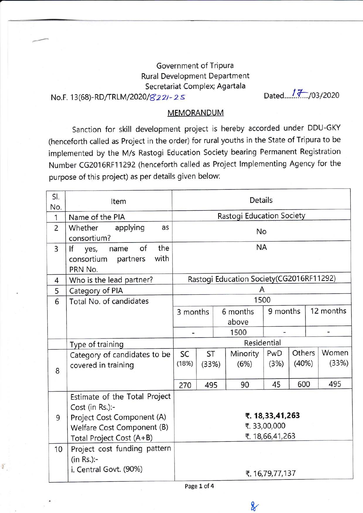## Government of Tripura Rural Development Department Secretariat Complex; Agartala

 $\frac{1}{2}$ 

No.F. 1 3(68)-RD/TRLM/2020/8 zzt - z s Dated..../ .{:.rctnozo

## **MEMORANDUM**

Sanction for skill development project is hereby accorded under DDU-GKY (henceforth called as Project in the order) for rural youths in the State of Tripura to be implemented by the M/s Rastogi Education Society bearing Permanent Registration Number CG2016RF11292 (henceforth called as Project lmplementing Agency for the purpose of this project) as per details given below:

| SI.<br>No.     | Item                                                                                                                                     | Details                                           |             |  |                   |             |                 |                          |                |
|----------------|------------------------------------------------------------------------------------------------------------------------------------------|---------------------------------------------------|-------------|--|-------------------|-------------|-----------------|--------------------------|----------------|
| $\mathbf{1}$   | Name of the PIA                                                                                                                          | Rastogi Education Society                         |             |  |                   |             |                 |                          |                |
| $\overline{2}$ | applying<br>Whether<br>as<br>consortium?                                                                                                 | No                                                |             |  |                   |             |                 |                          |                |
| 3              | the<br>of<br>If<br>yes,<br>name<br>with<br>consortium<br>partners<br>PRN No.                                                             | <b>NA</b>                                         |             |  |                   |             |                 |                          |                |
| 4              | Who is the lead partner?                                                                                                                 | Rastogi Education Society (CG2016RF11292)         |             |  |                   |             |                 |                          |                |
| 5              | Category of PIA                                                                                                                          | A                                                 |             |  |                   |             |                 |                          |                |
| 6              | Total No. of candidates                                                                                                                  | 1500                                              |             |  |                   |             |                 |                          |                |
|                |                                                                                                                                          | 3 months                                          |             |  | 6 months<br>above | 9 months    |                 | 12 months                |                |
|                |                                                                                                                                          |                                                   |             |  | 1500              |             |                 | $\overline{\phantom{0}}$ |                |
|                | Type of training                                                                                                                         | Residential                                       |             |  |                   |             |                 |                          |                |
| 8              | Category of candidates to be<br>covered in training                                                                                      | SC<br>(18%)                                       | ST<br>(33%) |  | Minority<br>(6%)  | PwD<br>(3%) | Others<br>(40%) |                          | Women<br>(33%) |
|                |                                                                                                                                          | 270<br>495                                        |             |  | 90                | 45          | 600             |                          | 495            |
| 9              | Estimate of the Total Project<br>Cost (in Rs.):-<br>Project Cost Component (A)<br>Welfare Cost Component (B)<br>Total Project Cost (A+B) | ₹. 18,33,41,263<br>₹.33,00,000<br>₹. 18,66,41,263 |             |  |                   |             |                 |                          |                |
| 10             | Project cost funding pattern<br>(in Rs.):<br>i. Central Govt. (90%)                                                                      | ₹. 16,79,77,137                                   |             |  |                   |             |                 |                          |                |

Page 1 of 4

 $\chi$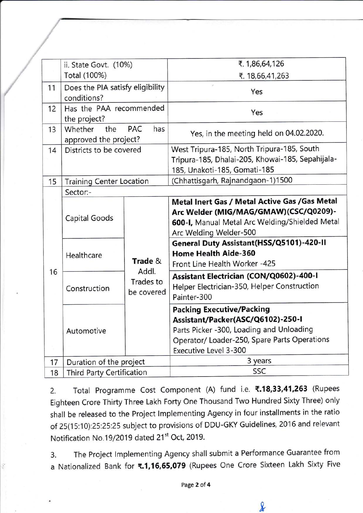|    | ii. State Govt. (10%)                           |                                  | ₹. 1,86,64,126                                                                                                                                                                            |  |  |  |  |  |
|----|-------------------------------------------------|----------------------------------|-------------------------------------------------------------------------------------------------------------------------------------------------------------------------------------------|--|--|--|--|--|
|    | Total (100%)                                    |                                  | ₹. 18,66,41,263                                                                                                                                                                           |  |  |  |  |  |
| 11 | Does the PIA satisfy eligibility<br>conditions? |                                  | Yes                                                                                                                                                                                       |  |  |  |  |  |
| 12 | Has the PAA recommended<br>the project?         |                                  | Yes                                                                                                                                                                                       |  |  |  |  |  |
| 13 | Whether<br>the<br>approved the project?         | <b>PAC</b><br>has                | Yes, in the meeting held on 04.02.2020.                                                                                                                                                   |  |  |  |  |  |
| 14 | Districts to be covered                         |                                  | West Tripura-185, North Tripura-185, South<br>Tripura-185, Dhalai-205, Khowai-185, Sepahijala-<br>185, Unakoti-185, Gomati-185                                                            |  |  |  |  |  |
| 15 | <b>Training Center Location</b>                 |                                  | (Chhattisgarh, Rajnandgaon-1)1500                                                                                                                                                         |  |  |  |  |  |
| 16 | Sector:-<br>Capital Goods                       |                                  | Metal Inert Gas / Metal Active Gas / Gas Metal<br>Arc Welder (MIG/MAG/GMAW)(CSC/Q0209)-<br>600-I, Manual Metal Arc Welding/Shielded Metal<br>Arc Welding Welder-500                       |  |  |  |  |  |
|    | Healthcare                                      | Trade &                          | General Duty Assistant(HSS/Q5101)-420-II<br><b>Home Health Aide-360</b><br>Front Line Health Worker -425                                                                                  |  |  |  |  |  |
|    | Construction                                    | Addl.<br>Trades to<br>be covered | Assistant Electrician (CON/Q0602)-400-I<br>Helper Electrician-350, Helper Construction<br>Painter-300                                                                                     |  |  |  |  |  |
|    | Automotive                                      |                                  | <b>Packing Executive/Packing</b><br>Assistant/Packer(ASC/Q6102)-250-I<br>Parts Picker -300, Loading and Unloading<br>Operator/Loader-250, Spare Parts Operations<br>Executive Level 3-300 |  |  |  |  |  |
| 17 | Duration of the project                         |                                  | 3 years                                                                                                                                                                                   |  |  |  |  |  |
| 18 | Third Party Certification                       |                                  | SSC                                                                                                                                                                                       |  |  |  |  |  |
|    |                                                 |                                  |                                                                                                                                                                                           |  |  |  |  |  |

2. Total Programme Cost Component (A) fund i.e. ₹.18,33,41,263 (Rupees Eighteen Crore Thirty Three Lakh Forty One Thousand Two Hundred Sixty Three) only shall be released to the Project Implementing Agency in four installments in the ratio of 25(15:10):25:25:25 subject to provisions of DDU-GKY Guidelines, 2016 and relevant Notification No.19/2019 dated 21<sup>st</sup> Oct, 2019.

3. The Project lmplementing Agency shall submit a Performance Guarantee from a Nationalized Bank for ₹.1,16,65,079 (Rupees One Crore Sixteen Lakh Sixty Five

\*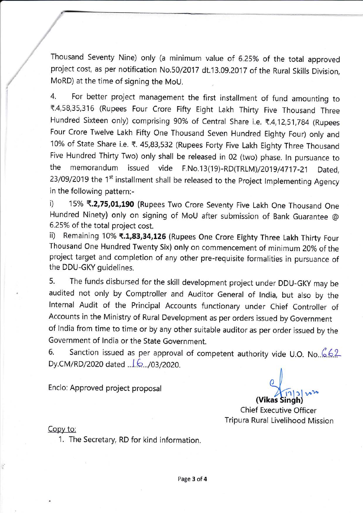Thousand Seventy Nine) only (a minimum value of 6.25% of the total approved project cost, as per notification No.50/2017 dt.13.09.2017 of the Rural Skills Division, MoRD) at the time of signing the MoU.

4. For better project management the first installment of fund amounting to T.4,58,35,316 (Rupees Four Crore Fifty Eight Lakh Thirty Five Thousand Three Hundred Sixteen only) comprising 90% of Central Share i.e. ₹.4,12,51,784 (Rupees Four Crore Twelve Lakh Fifty One Thousand Seven Hundred Eighty Four) only and 10% of State Share i.e. ₹. 45,83,532 (Rupees Forty Five Lakh Eighty Three Thousand Five Hundred Thirty Two) only shall be released in 02 (two) phase. ln pursuance to the memorandum issued vide F.No.13(19)-RD(TRLM)/2o19/4717-21 Dated, 23/09/2019 the 1<sup>st</sup> installment shall be released to the Project Implementing Agency in the following pattern:-

i) 15% ₹.2,75,01,190 (Rupees Two Crore Seventy Five Lakh One Thousand One Hundred Ninety) only on signing of MoU after submission of Bank Guarantee @ 6.25% of the total project cost.

ii) Remaining 10% ₹.1,83,34,126 (Rupees One Crore Eighty Three Lakh Thirty Four Thousand One Hundred Twenty Six) only on commencement of minimum 20% of the project target and completion of any other pre-requisite formalities in pursuance of the DDU-GKY guidelines.

5. The funds disbursed for the skill development project under DDU-GKY may be audited not only by Comptroller and Auditor General of lndia, but also by the lnternal Audit of the Principal Accounts functionary under Chief Controller of Accounts in the Ministry of Rural Development as per orders issued by Government of lndia from time to time or by any other suitable auditor as per order issued by the Government of lndia or the State Government.

6. Sanction issued as per approval of competent authority vide U.O. No.  $662$ Dy.CM/RD /2020 dated ...l.b...tottzozo.

Enclo: Approved project proposal

,1 (Vikas Singh)

Chief Executive Officer Tripura Rural Livelihood Mission

Copy to:

1. The Secretary, RD for kind information.